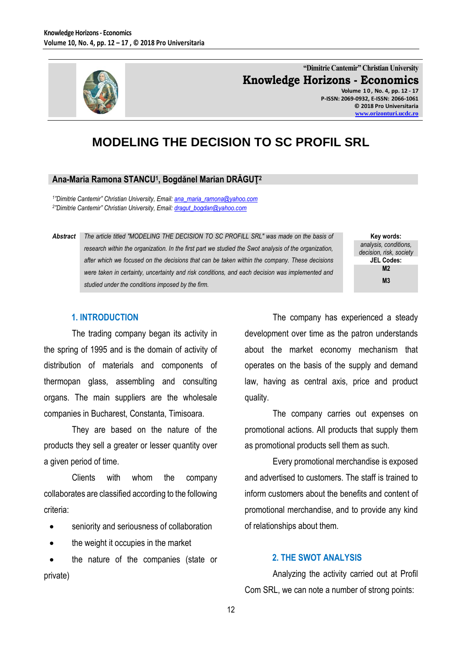

**"Dimitrie Cantemir" Christian University Knowledge Horizons - Economics Volume 1 0 , No. 4, pp. 12 - 17 P-ISSN: 2069-0932, E-ISSN: 2066-1061 © 2018 Pro Universitaria [www.orizonturi.ucdc.ro](http://www.orizonturi.ucdc.ro/)**

# **MODELING THE DECISION TO SC PROFIL SRL**

## **Ana-Maria Ramona STANCU<sup>1</sup> , Bogdănel Marian DRĂGUŢ<sup>2</sup>**

*1 "Dimitrie Cantemir" Christian University, Email: [ana\\_maria\\_ramona@yahoo.com](mailto:ana_maria_ramona@yahoo.com) 2 "Dimitrie Cantemir" Christian University, Email: [dragut\\_bogdan@yahoo.com](mailto:dragut_bogdan@yahoo.com)*

*Abstract The article titled "MODELING THE DECISION TO SC PROFILL SRL" was made on the basis of research within the organization. In the first part we studied the Swot analysis of the organization, after which we focused on the decisions that can be taken within the company. These decisions were taken in certainty, uncertainty and risk conditions, and each decision was implemented and studied under the conditions imposed by the firm.*

**Key words:** *analysis, conditions, decision, risk, society* **JEL Codes: M2 M3**

#### **1. INTRODUCTION**

The trading company began its activity in the spring of 1995 and is the domain of activity of distribution of materials and components of thermopan glass, assembling and consulting organs. The main suppliers are the wholesale companies in Bucharest, Constanta, Timisoara.

They are based on the nature of the products they sell a greater or lesser quantity over a given period of time.

Clients with whom the company collaborates are classified according to the following criteria:

- seniority and seriousness of collaboration
- the weight it occupies in the market

 the nature of the companies (state or private)

The company has experienced a steady development over time as the patron understands about the market economy mechanism that operates on the basis of the supply and demand law, having as central axis, price and product quality.

The company carries out expenses on promotional actions. All products that supply them as promotional products sell them as such.

Every promotional merchandise is exposed and advertised to customers. The staff is trained to inform customers about the benefits and content of promotional merchandise, and to provide any kind of relationships about them.

## **2. THE SWOT ANALYSIS**

Analyzing the activity carried out at Profil Com SRL, we can note a number of strong points: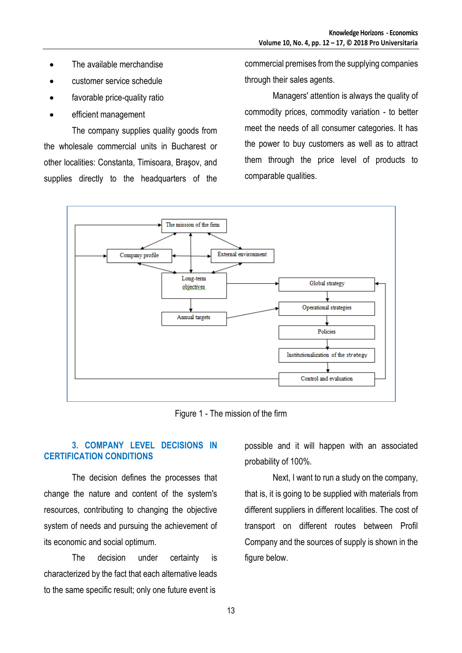- The available merchandise
- customer service schedule
- favorable price-quality ratio
- efficient management

The company supplies quality goods from the wholesale commercial units in Bucharest or other localities: Constanta, Timisoara, Braşov, and supplies directly to the headquarters of the

commercial premises from the supplying companies through their sales agents.

Managers' attention is always the quality of commodity prices, commodity variation - to better meet the needs of all consumer categories. It has the power to buy customers as well as to attract them through the price level of products to comparable qualities.



Figure 1 - The mission of the firm

## **3. COMPANY LEVEL DECISIONS IN CERTIFICATION CONDITIONS**

The decision defines the processes that change the nature and content of the system's resources, contributing to changing the objective system of needs and pursuing the achievement of its economic and social optimum.

The decision under certainty is characterized by the fact that each alternative leads to the same specific result; only one future event is

possible and it will happen with an associated probability of 100%.

Next, I want to run a study on the company, that is, it is going to be supplied with materials from different suppliers in different localities. The cost of transport on different routes between Profil Company and the sources of supply is shown in the figure below.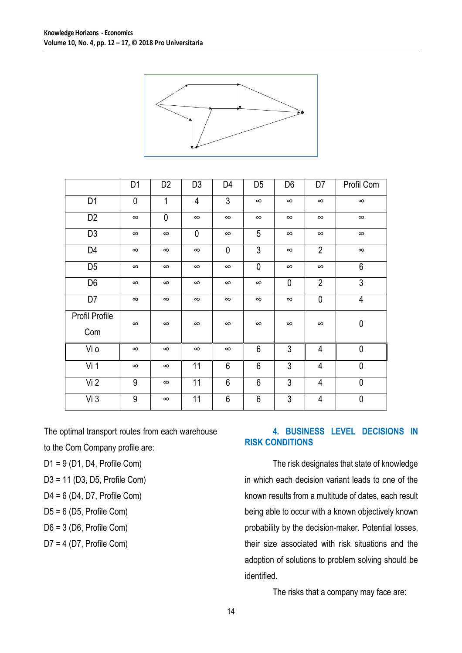

|                | D <sub>1</sub> | D <sub>2</sub> | D <sub>3</sub> | D4             | D <sub>5</sub> | D6           | D7             | Profil Com   |
|----------------|----------------|----------------|----------------|----------------|----------------|--------------|----------------|--------------|
| D <sub>1</sub> | 0              | 1              | $\overline{4}$ | 3              | $\infty$       | $\infty$     | $\infty$       | $\infty$     |
| D <sub>2</sub> | $\infty$       | 0              | $\infty$       | $\infty$       | $\infty$       | $\infty$     | $\infty$       | $\infty$     |
| D <sub>3</sub> | $\infty$       | $\infty$       | $\mathbf 0$    | $\infty$       | 5              | $\infty$     | $\infty$       | $\infty$     |
| D4             | $\infty$       | $\infty$       | $\infty$       | $\mathbf 0$    | $\mathfrak{Z}$ | $\infty$     | $\overline{2}$ | $\infty$     |
| D <sub>5</sub> | $\infty$       | $\infty$       | $\infty$       | $\infty$       | $\mathbf{0}$   | $\infty$     | $\infty$       | 6            |
| D <sub>6</sub> | $\infty$       | $\infty$       | $\infty$       | $\infty$       | $\infty$       | $\mathbf{0}$ | $\overline{2}$ | 3            |
| D7             | $\infty$       | $\infty$       | $\infty$       | $\infty$       | $\infty$       | $\infty$     | $\mathbf 0$    | 4            |
| Profil Profile | $\infty$       | $\infty$       | $\infty$       | $\infty$       | $\infty$       | $\infty$     | $\infty$       | $\pmb{0}$    |
| Com            |                |                |                |                |                |              |                |              |
| Vi o           | $\infty$       | $\infty$       | $\infty$       | $\infty$       | 6              | 3            | 4              | $\pmb{0}$    |
| Vi 1           | $\infty$       | $\infty$       | 11             | 6              | $6\phantom{1}$ | 3            | 4              | $\mathbf{0}$ |
| Vi2            | 9              | $\infty$       | 11             | $6\phantom{1}$ | $6\phantom{1}$ | 3            | $\overline{4}$ | $\mathbf{0}$ |
| Vi3            | 9              | $\infty$       | 11             | $6\,$          | $6\,$          | 3            | 4              | $\pmb{0}$    |

The optimal transport routes from each warehouse to the Com Company profile are:

D1 = 9 (D1, D4, Profile Com)

- D3 = 11 (D3, D5, Profile Com)
- D4 = 6 (D4, D7, Profile Com)

 $D5 = 6$  (D5, Profile Com)

D6 = 3 (D6, Profile Com)

D7 = 4 (D7, Profile Com)

# **4. BUSINESS LEVEL DECISIONS IN RISK CONDITIONS**

The risk designates that state of knowledge in which each decision variant leads to one of the known results from a multitude of dates, each result being able to occur with a known objectively known probability by the decision-maker. Potential losses, their size associated with risk situations and the adoption of solutions to problem solving should be identified.

The risks that a company may face are: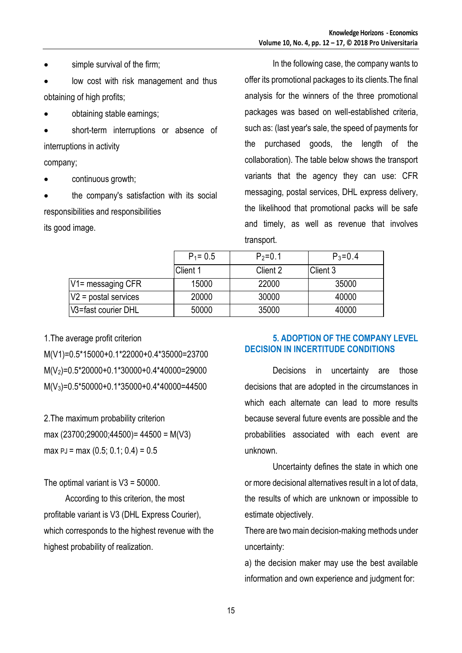- simple survival of the firm;
- low cost with risk management and thus obtaining of high profits;
- obtaining stable earnings;
- short-term interruptions or absence of interruptions in activity

company;

- continuous growth;
- the company's satisfaction with its social responsibilities and responsibilities

its good image.

In the following case, the company wants to offer its promotional packages to its clients.The final analysis for the winners of the three promotional packages was based on well-established criteria, such as: (last year's sale, the speed of payments for the purchased goods, the length of the collaboration). The table below shows the transport variants that the agency they can use: CFR messaging, postal services, DHL express delivery, the likelihood that promotional packs will be safe and timely, as well as revenue that involves transport.

|                        | $P_1 = 0.5$ | $P_2 = 0.1$ | $P_3 = 0.4$ |
|------------------------|-------------|-------------|-------------|
|                        | Client 1    | Client 2    | Client 3    |
| $V1 =$ messaging CFR   | 15000       | 22000       | 35000       |
| $V2$ = postal services | 20000       | 30000       | 40000       |
| V3=fast courier DHL    | 50000       | 35000       | 40000       |

1.The average profit criterion M(V1)=0.5\*15000+0.1\*22000+0.4\*35000=23700 M(V2)=0.5\*20000+0.1\*30000+0.4\*40000=29000 M(V3)=0.5\*50000+0.1\*35000+0.4\*40000=44500

2.The maximum probability criterion max (23700;29000;44500)= 44500 = M(V3) max  $PJ = max (0.5; 0.1; 0.4) = 0.5$ 

#### The optimal variant is  $V3 = 50000$ .

 According to this criterion, the most profitable variant is V3 (DHL Express Courier), which corresponds to the highest revenue with the highest probability of realization.

## **5. ADOPTION OF THE COMPANY LEVEL DECISION IN INCERTITUDE CONDITIONS**

Decisions in uncertainty are those decisions that are adopted in the circumstances in which each alternate can lead to more results because several future events are possible and the probabilities associated with each event are unknown.

Uncertainty defines the state in which one or more decisional alternatives result in a lot of data, the results of which are unknown or impossible to estimate objectively.

There are two main decision-making methods under uncertainty:

a) the decision maker may use the best available information and own experience and judgment for: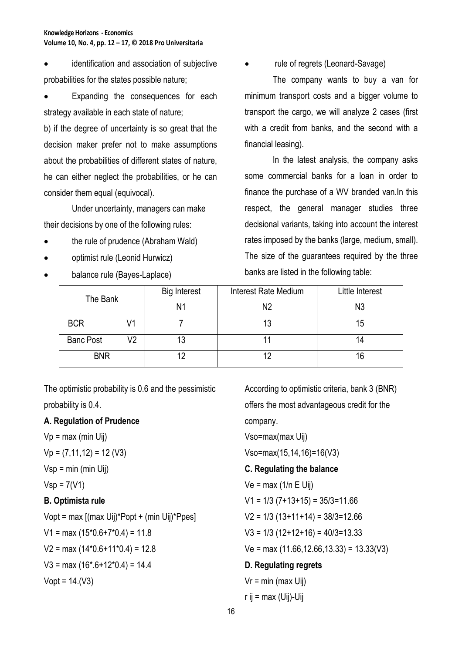identification and association of subjective probabilities for the states possible nature;

 Expanding the consequences for each strategy available in each state of nature;

b) if the degree of uncertainty is so great that the decision maker prefer not to make assumptions about the probabilities of different states of nature, he can either neglect the probabilities, or he can consider them equal (equivocal).

Under uncertainty, managers can make their decisions by one of the following rules:

- the rule of prudence (Abraham Wald)
- optimist rule (Leonid Hurwicz)
- balance rule (Bayes-Laplace)

rule of regrets (Leonard-Savage)

The company wants to buy a van for minimum transport costs and a bigger volume to transport the cargo, we will analyze 2 cases (first with a credit from banks, and the second with a financial leasing).

In the latest analysis, the company asks some commercial banks for a loan in order to finance the purchase of a WV branded van.In this respect, the general manager studies three decisional variants, taking into account the interest rates imposed by the banks (large, medium, small). The size of the guarantees required by the three banks are listed in the following table:

| The Bank         |    | Interest Rate Medium<br><b>Big Interest</b> |    | Little Interest |  |
|------------------|----|---------------------------------------------|----|-----------------|--|
|                  |    | N1                                          | N2 | N3              |  |
| <b>BCR</b>       | 71 |                                             |    | 15              |  |
| <b>Banc Post</b> | V2 | 13                                          |    |                 |  |
| <b>BNR</b>       |    |                                             |    | 16              |  |

The optimistic probability is 0.6 and the pessimistic probability is 0.4.

## **A. Regulation of Prudence**

 $Vp = max$  (min Uij)

 $Vp = (7,11,12) = 12$  (V3)

 $Vsp = min (min Uij)$ 

$$
Vsp = 7(V1)
$$

## **B. Optimista rule**

Vopt = max [(max Uij)\*Popt + (min Uij)\*Ppes]  $V1 = max (15*0.6+7*0.4) = 11.8$  $V2 = max (14*0.6+11*0.4) = 12.8$  $V3 = max (16*6+12*0.4) = 14.4$  $Vopt = 14.(V3)$ 

According to optimistic criteria, bank 3 (BNR) offers the most advantageous credit for the company. Vso=max(max Uij) Vso=max(15,14,16)=16(V3) **C. Regulating the balance**  $Ve = max (1/n E Uii)$  $V1 = 1/3$  (7+13+15) = 35/3=11.66  $V2 = 1/3 (13+11+14) = 38/3=12.66$  $V3 = 1/3 (12+12+16) = 40/3 = 13.33$ 

 $Ve = max (11.66, 12.66, 13.33) = 13.33(V3)$ 

# **D. Regulating regrets**

$$
Vr = min (max Uij)
$$
  
r ij = max (Uij)-Uij